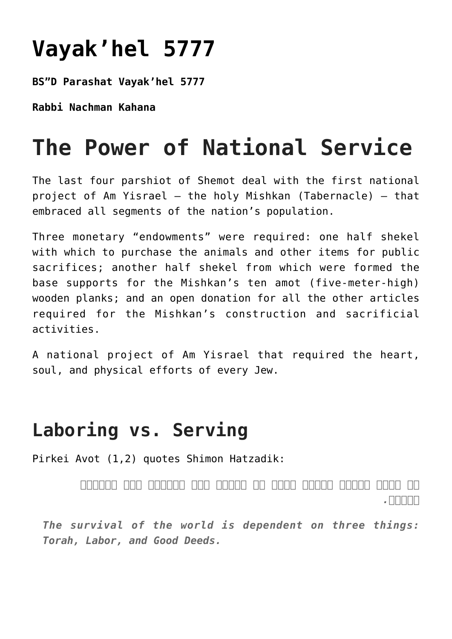## **[Vayak'hel 5777](https://nachmankahana.com/vayakhel-5777/)**

**BS"D Parashat Vayak'hel 5777**

**Rabbi Nachman Kahana**

## **The Power of National Service**

The last four parshiot of Shemot deal with the first national project of Am Yisrael – the holy Mishkan (Tabernacle) – that embraced all segments of the nation's population.

Three monetary "endowments" were required: one half shekel with which to purchase the animals and other items for public sacrifices; another half shekel from which were formed the base supports for the Mishkan's ten amot (five-meter-high) wooden planks; and an open donation for all the other articles required for the Mishkan's construction and sacrificial activities.

A national project of Am Yisrael that required the heart, soul, and physical efforts of every Jew.

## **Laboring vs. Serving**

Pirkei Avot (1,2) quotes Shimon Hatzadik:

*על שלשה דברים העולם עומד על התורה ועל העבודה ועל גמילות חסדים.*

*The survival of the world is dependent on three things: Torah, Labor, and Good Deeds.*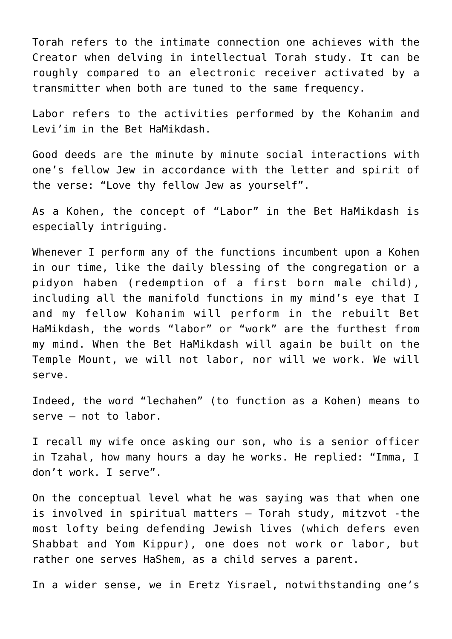Torah refers to the intimate connection one achieves with the Creator when delving in intellectual Torah study. It can be roughly compared to an electronic receiver activated by a transmitter when both are tuned to the same frequency.

Labor refers to the activities performed by the Kohanim and Levi'im in the Bet HaMikdash.

Good deeds are the minute by minute social interactions with one's fellow Jew in accordance with the letter and spirit of the verse: "Love thy fellow Jew as yourself".

As a Kohen, the concept of "Labor" in the Bet HaMikdash is especially intriguing.

Whenever I perform any of the functions incumbent upon a Kohen in our time, like the daily blessing of the congregation or a pidyon haben (redemption of a first born male child), including all the manifold functions in my mind's eye that I and my fellow Kohanim will perform in the rebuilt Bet HaMikdash, the words "labor" or "work" are the furthest from my mind. When the Bet HaMikdash will again be built on the Temple Mount, we will not labor, nor will we work. We will serve.

Indeed, the word "lechahen" (to function as a Kohen) means to serve – not to labor.

I recall my wife once asking our son, who is a senior officer in Tzahal, how many hours a day he works. He replied: "Imma, I don't work. I serve".

On the conceptual level what he was saying was that when one is involved in spiritual matters – Torah study, mitzvot -the most lofty being defending Jewish lives (which defers even Shabbat and Yom Kippur), one does not work or labor, but rather one serves HaShem, as a child serves a parent.

In a wider sense, we in Eretz Yisrael, notwithstanding one's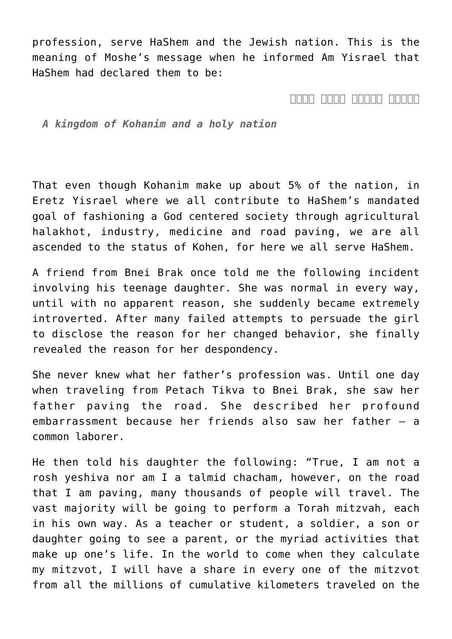profession, serve HaShem and the Jewish nation. This is the meaning of Moshe's message when he informed Am Yisrael that HaShem had declared them to be:

*ממלכת כהנים וגוי קדוש*

*A kingdom of Kohanim and a holy nation*

That even though Kohanim make up about 5% of the nation, in Eretz Yisrael where we all contribute to HaShem's mandated goal of fashioning a God centered society through agricultural halakhot, industry, medicine and road paving, we are all ascended to the status of Kohen, for here we all serve HaShem.

A friend from Bnei Brak once told me the following incident involving his teenage daughter. She was normal in every way, until with no apparent reason, she suddenly became extremely introverted. After many failed attempts to persuade the girl to disclose the reason for her changed behavior, she finally revealed the reason for her despondency.

She never knew what her father's profession was. Until one day when traveling from Petach Tikva to Bnei Brak, she saw her father paving the road. She described her profound embarrassment because her friends also saw her father – a common laborer.

He then told his daughter the following: "True, I am not a rosh yeshiva nor am I a talmid chacham, however, on the road that I am paving, many thousands of people will travel. The vast majority will be going to perform a Torah mitzvah, each in his own way. As a teacher or student, a soldier, a son or daughter going to see a parent, or the myriad activities that make up one's life. In the world to come when they calculate my mitzvot, I will have a share in every one of the mitzvot from all the millions of cumulative kilometers traveled on the